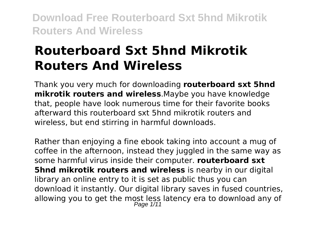# **Routerboard Sxt 5hnd Mikrotik Routers And Wireless**

Thank you very much for downloading **routerboard sxt 5hnd mikrotik routers and wireless**.Maybe you have knowledge that, people have look numerous time for their favorite books afterward this routerboard sxt 5hnd mikrotik routers and wireless, but end stirring in harmful downloads.

Rather than enjoying a fine ebook taking into account a mug of coffee in the afternoon, instead they juggled in the same way as some harmful virus inside their computer. **routerboard sxt 5hnd mikrotik routers and wireless** is nearby in our digital library an online entry to it is set as public thus you can download it instantly. Our digital library saves in fused countries, allowing you to get the most less latency era to download any of Page  $1/11$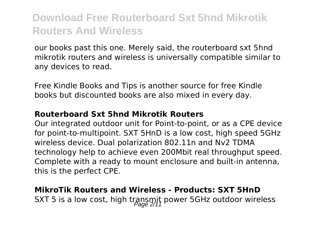our books past this one. Merely said, the routerboard sxt 5hnd mikrotik routers and wireless is universally compatible similar to any devices to read.

Free Kindle Books and Tips is another source for free Kindle books but discounted books are also mixed in every day.

#### **Routerboard Sxt 5hnd Mikrotik Routers**

Our integrated outdoor unit for Point-to-point, or as a CPE device for point-to-multipoint. SXT 5HnD is a low cost, high speed 5GHz wireless device. Dual polarization 802.11n and Nv2 TDMA technology help to achieve even 200Mbit real throughput speed. Complete with a ready to mount enclosure and built-in antenna, this is the perfect CPE.

### **MikroTik Routers and Wireless - Products: SXT 5HnD** SXT 5 is a low cost, high transmit power 5GHz outdoor wireless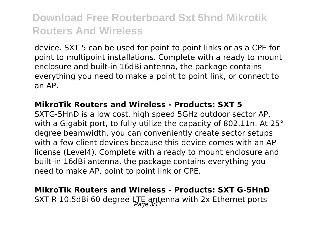device. SXT 5 can be used for point to point links or as a CPE for point to multipoint installations. Complete with a ready to mount enclosure and built-in 16dBi antenna, the package contains everything you need to make a point to point link, or connect to an AP.

#### **MikroTik Routers and Wireless - Products: SXT 5**

SXTG-5HnD is a low cost, high speed 5GHz outdoor sector AP, with a Gigabit port, to fully utilize the capacity of 802.11n. At 25° degree beamwidth, you can conveniently create sector setups with a few client devices because this device comes with an AP license (Level4). Complete with a ready to mount enclosure and built-in 16dBi antenna, the package contains everything you need to make AP, point to point link or CPE.

### **MikroTik Routers and Wireless - Products: SXT G-5HnD** SXT R 10.5dBi 60 degree LTE antenna with 2x Ethernet ports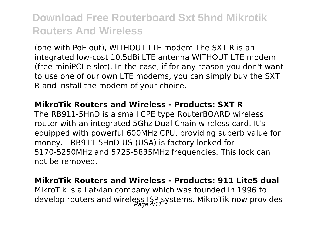(one with PoE out), WITHOUT LTE modem The SXT R is an integrated low-cost 10.5dBi LTE antenna WITHOUT LTE modem (free miniPCI-e slot). In the case, if for any reason you don't want to use one of our own LTE modems, you can simply buy the SXT R and install the modem of your choice.

#### **MikroTik Routers and Wireless - Products: SXT R**

The RB911-5HnD is a small CPE type RouterBOARD wireless router with an integrated 5Ghz Dual Chain wireless card. It's equipped with powerful 600MHz CPU, providing superb value for money. - RB911-5HnD-US (USA) is factory locked for 5170-5250MHz and 5725-5835MHz frequencies. This lock can not be removed.

#### **MikroTik Routers and Wireless - Products: 911 Lite5 dual**

MikroTik is a Latvian company which was founded in 1996 to develop routers and wireless  $\text{ISP}_f$ systems. MikroTik now provides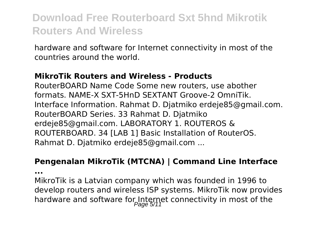hardware and software for Internet connectivity in most of the countries around the world.

#### **MikroTik Routers and Wireless - Products**

RouterBOARD Name Code Some new routers, use abother formats. NAME-X SXT-5HnD SEXTANT Groove-2 OmniTik. Interface Information. Rahmat D. Djatmiko erdeje85@gmail.com. RouterBOARD Series. 33 Rahmat D. Djatmiko erdeje85@gmail.com. LABORATORY 1. ROUTEROS & ROUTERBOARD. 34 [LAB 1] Basic Installation of RouterOS. Rahmat D. Djatmiko erdeje85@gmail.com ...

#### **Pengenalan MikroTik (MTCNA) | Command Line Interface**

**...**

MikroTik is a Latvian company which was founded in 1996 to develop routers and wireless ISP systems. MikroTik now provides hardware and software for Internet connectivity in most of the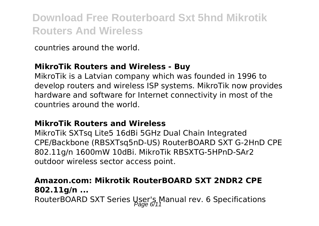countries around the world.

#### **MikroTik Routers and Wireless - Buy**

MikroTik is a Latvian company which was founded in 1996 to develop routers and wireless ISP systems. MikroTik now provides hardware and software for Internet connectivity in most of the countries around the world.

#### **MikroTik Routers and Wireless**

MikroTik SXTsq Lite5 16dBi 5GHz Dual Chain Integrated CPE/Backbone (RBSXTsq5nD-US) RouterBOARD SXT G-2HnD CPE 802.11g/n 1600mW 10dBi. MikroTik RBSXTG-5HPnD-SAr2 outdoor wireless sector access point.

### **Amazon.com: Mikrotik RouterBOARD SXT 2NDR2 CPE 802.11g/n ...**

RouterBOARD SXT Series User's Manual rev. 6 Specifications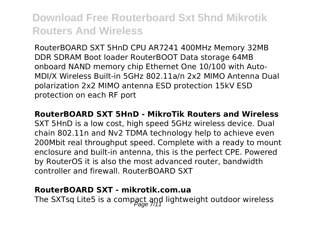RouterBOARD SXT 5HnD CPU AR7241 400MHz Memory 32MB DDR SDRAM Boot loader RouterBOOT Data storage 64MB onboard NAND memory chip Ethernet One 10/100 with Auto-MDI/X Wireless Built-in 5GHz 802.11a/n 2x2 MIMO Antenna Dual polarization 2x2 MIMO antenna ESD protection 15kV ESD protection on each RF port

#### **RouterBOARD SXT 5HnD - MikroTik Routers and Wireless**

SXT 5HnD is a low cost, high speed 5GHz wireless device. Dual chain 802.11n and Nv2 TDMA technology help to achieve even 200Mbit real throughput speed. Complete with a ready to mount enclosure and built-in antenna, this is the perfect CPE. Powered by RouterOS it is also the most advanced router, bandwidth controller and firewall. RouterBOARD SXT

#### **RouterBOARD SXT - mikrotik.com.ua**

The SXTsq Lite5 is a compact and lightweight outdoor wireless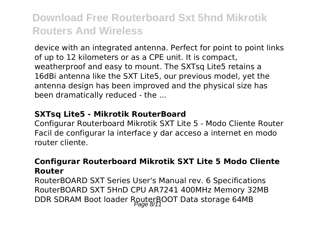device with an integrated antenna. Perfect for point to point links of up to 12 kilometers or as a CPE unit. It is compact, weatherproof and easy to mount. The SXTsq Lite5 retains a 16dBi antenna like the SXT Lite5, our previous model, yet the antenna design has been improved and the physical size has been dramatically reduced - the ...

#### **SXTsq Lite5 - Mikrotik RouterBoard**

Configurar Routerboard Mikrotik SXT Lite 5 - Modo Cliente Router Facil de configurar la interface y dar acceso a internet en modo router cliente.

#### **Configurar Routerboard Mikrotik SXT Lite 5 Modo Cliente Router**

RouterBOARD SXT Series User's Manual rev. 6 Specifications RouterBOARD SXT 5HnD CPU AR7241 400MHz Memory 32MB DDR SDRAM Boot loader RouterBOOT Data storage 64MB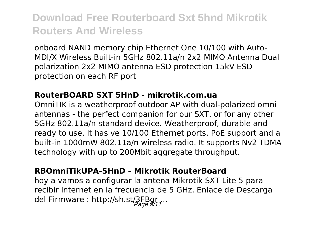onboard NAND memory chip Ethernet One 10/100 with Auto-MDI/X Wireless Built-in 5GHz 802.11a/n 2x2 MIMO Antenna Dual polarization 2x2 MIMO antenna ESD protection 15kV ESD protection on each RF port

#### **RouterBOARD SXT 5HnD - mikrotik.com.ua**

OmniTIK is a weatherproof outdoor AP with dual-polarized omni antennas - the perfect companion for our SXT, or for any other 5GHz 802.11a/n standard device. Weatherproof, durable and ready to use. It has ve 10/100 Ethernet ports, PoE support and a built-in 1000mW 802.11a/n wireless radio. It supports Nv2 TDMA technology with up to 200Mbit aggregate throughput.

#### **RBOmniTikUPA-5HnD - Mikrotik RouterBoard**

hoy a vamos a configurar la antena Mikrotik SXT Lite 5 para recibir Internet en la frecuencia de 5 GHz. Enlace de Descarga del Firmware : http://sh.st/3FBgr...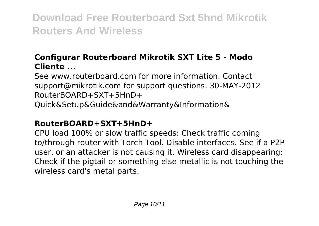### **Configurar Routerboard Mikrotik SXT Lite 5 - Modo Cliente ...**

See www.routerboard.com for more information. Contact support@mikrotik.com for support questions. 30-MAY-2012 RouterBOARD+SXT+5HnD+ Quick&Setup&Guide&and&Warranty&Information&

#### **RouterBOARD+SXT+5HnD+**

CPU load 100% or slow traffic speeds: Check traffic coming to/through router with Torch Tool. Disable interfaces. See if a P2P user, or an attacker is not causing it. Wireless card disappearing: Check if the pigtail or something else metallic is not touching the wireless card's metal parts.